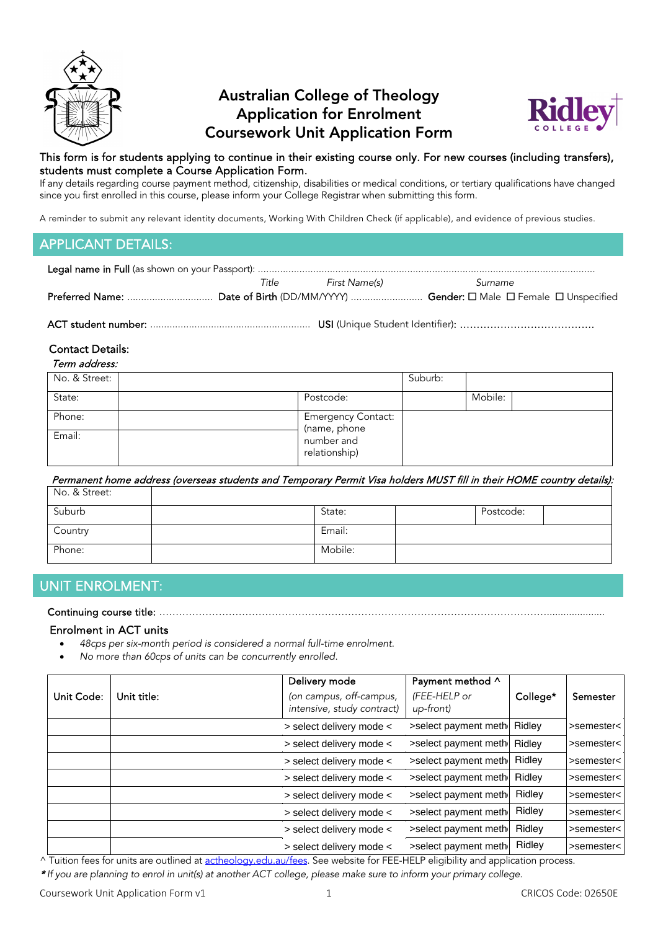

# Australian College of Theology Application for Enrolment Coursework Unit Application Form



#### This form is for students applying to continue in their existing course only. For new courses (including transfers), students must complete a Course Application Form.

If any details regarding course payment method, citizenship, disabilities or medical conditions, or tertiary qualifications have changed since you first enrolled in this course, please inform your College Registrar when submitting this form.

A reminder to submit any relevant identity documents, Working With Children Check (if applicable), and evidence of previous studies.

# APPLICANT DETAILS:

| Title | First Name(s) | Surname |  |
|-------|---------------|---------|--|
|       |               |         |  |
|       |               |         |  |

## Contact Details:

| Term address: |  |
|---------------|--|
|               |  |

| No. & Street: |                                           | Suburb: |         |  |
|---------------|-------------------------------------------|---------|---------|--|
| State:        | Postcode:                                 |         | Mobile: |  |
| Phone:        | <b>Emergency Contact:</b><br>(name, phone |         |         |  |
| Email:        | number and<br>relationship)               |         |         |  |

 Permanent home address (overseas students and Temporary Permit Visa holders MUST fill in their HOME country details):  $N_{\odot}$   $\ell$ ,  $\zeta$ <sub>troot</sub>

| IVU. O. JUEC. |         |           |  |
|---------------|---------|-----------|--|
| Suburb        | State:  | Postcode: |  |
| Country       | Email:  |           |  |
| Phone:        | Mobile: |           |  |

# UNIT ENROLMENT:

### Continuing course title: ……………………………………………………………………………………………………….....................

#### Enrolment in ACT units

- *48cps per six-month period is considered a normal full-time enrolment.*
- *No more than 60cps of units can be concurrently enrolled.*

| Unit Code: | Unit title: | Delivery mode<br>(on campus, off-campus,<br>intensive, study contract) | Payment method ^<br>(FEE-HELP or<br>up-front) | College* | Semester   |
|------------|-------------|------------------------------------------------------------------------|-----------------------------------------------|----------|------------|
|            |             | > select delivery mode <                                               | >select payment meth Ridley                   |          | >semester< |
|            |             | > select delivery mode <                                               | >select payment meth Ridley                   |          | >semester< |
|            |             | > select delivery mode <                                               | >select payment meth                          | Ridley   | >semester< |
|            |             | > select delivery mode <                                               | >select payment meth                          | Ridley   | >semester< |
|            |             | > select delivery mode <                                               | >select payment meth                          | Ridley   | >semester< |
|            |             | > select delivery mode <                                               | >select payment meth                          | Ridley   | >semester< |
|            |             | > select delivery mode <                                               | >select payment meth                          | Ridley   | >semester< |
|            |             | > select delivery mode <                                               | >select payment meth                          | Ridley   | >semester< |

^ Tuition fees for units are outlined a[t actheology.edu.au/fees.](https://www.actheology.edu.au/fees/) See website for FEE-HELP eligibility and application process.

\* *If you are planning to enrol in unit(s) at another ACT college, please make sure to inform your primary college.*

Coursework Unit Application Form v1 1 CRICOS Code: 02650E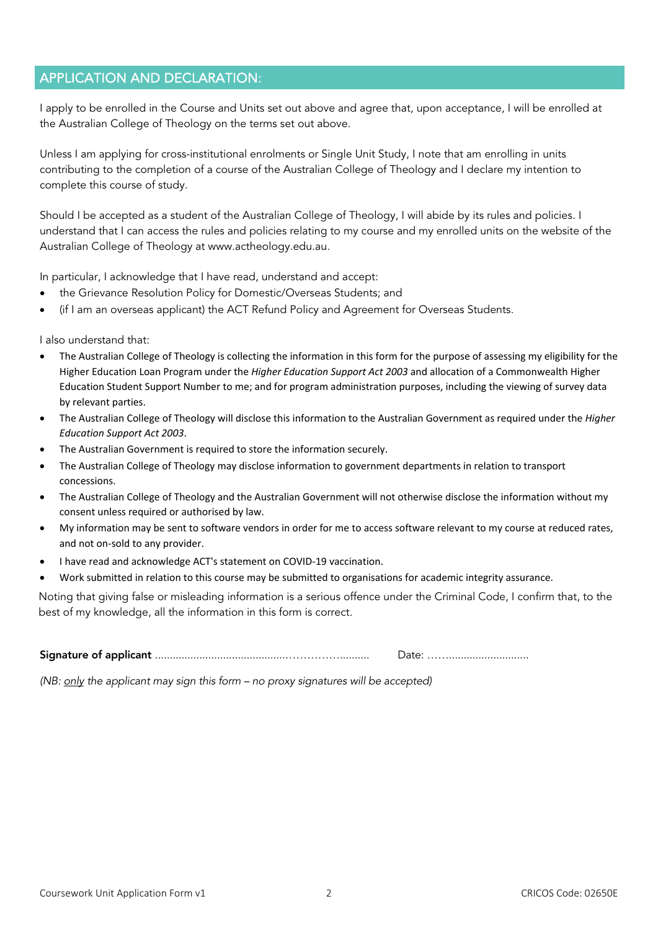# APPLICATION AND DECLARATION:

I apply to be enrolled in the Course and Units set out above and agree that, upon acceptance, I will be enrolled at the Australian College of Theology on the terms set out above.

Unless I am applying for cross-institutional enrolments or Single Unit Study, I note that am enrolling in units contributing to the completion of a course of the Australian College of Theology and I declare my intention to complete this course of study.

Should I be accepted as a student of the Australian College of Theology, I will abide by its rules and policies. I understand that I can access the rules and policies relating to my course and my enrolled units on the website of the Australian College of Theology at www.actheology.edu.au.

In particular, I acknowledge that I have read, understand and accept:

- the Grievance Resolution Policy for Domestic/Overseas Students; and
- (if I am an overseas applicant) the ACT Refund Policy and Agreement for Overseas Students.

I also understand that:

- The Australian College of Theology is collecting the information in this form for the purpose of assessing my eligibility for the Higher Education Loan Program under the *Higher Education Support Act 2003* and allocation of a Commonwealth Higher Education Student Support Number to me; and for program administration purposes, including the viewing of survey data by relevant parties.
- The Australian College of Theology will disclose this information to the Australian Government as required under the *Higher Education Support Act 2003*.
- The Australian Government is required to store the information securely.
- The Australian College of Theology may disclose information to government departments in relation to transport concessions.
- The Australian College of Theology and the Australian Government will not otherwise disclose the information without my consent unless required or authorised by law.
- My information may be sent to software vendors in order for me to access software relevant to my course at reduced rates, and not on-sold to any provider.
- I have read and acknowledge ACT's statement on [COVID-19 vaccination.](https://myportal.actheology.edu.au/FileDownload/6d1214e8-3638-42c8-98d6-074653625a7b/statement-for-students-on-covid-19-vaccination)
- Work submitted in relation to this course may be submitted to organisations for academic integrity assurance.

Noting that giving false or misleading information is a serious offence under the Criminal Code, I confirm that, to the best of my knowledge, all the information in this form is correct.

Signature of applicant ............................................…………….......... Date: ……...........................

*(NB: only the applicant may sign this form – no proxy signatures will be accepted)*